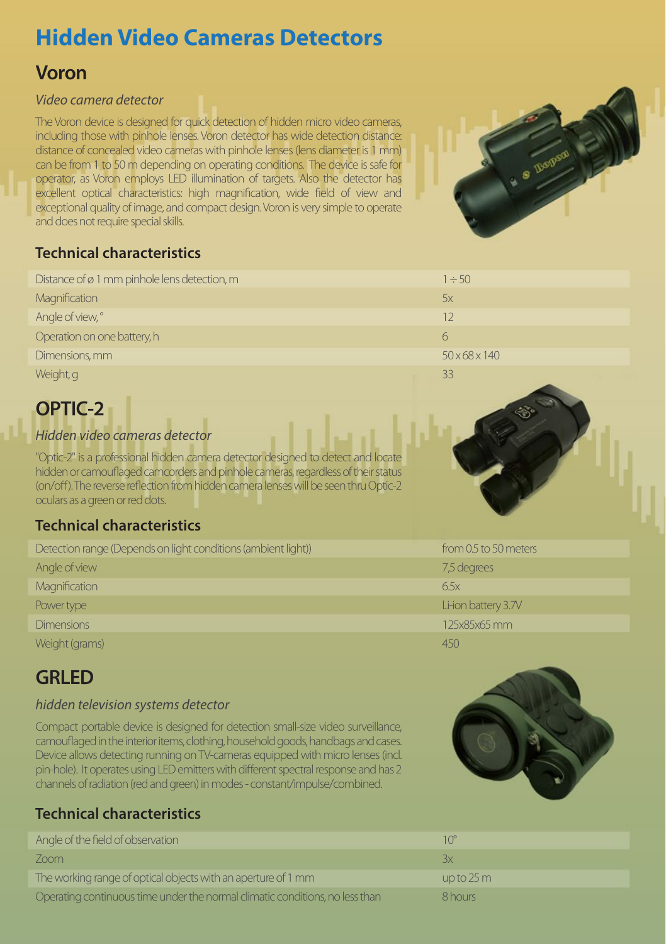# **Hidden Video Cameras Detectors**

## **Voron**

#### *Video camera detector*

The Voron device is designed for quick detection of hidden micro video cameras, including those with pinhole lenses. Voron detector has wide detection distance: distance of concealed video cameras with pinhole lenses (lens diameter is 1 mm) can be from 1 to 50 m depending on operating conditions. The device is safe for operator, as Voron employs LED illumination of targets. Also the detector has excellent optical characteristics: high magnification, wide field of view and exceptional quality of image, and compact design. Voron is very simple to operate and does not require special skills.



#### **Technical characteristics**

| Distance of $\varnothing$ 1 mm pinhole lens detection, m | $1 \div 50$               |  |
|----------------------------------------------------------|---------------------------|--|
| Magnification                                            | 5x                        |  |
| Angle of view, °                                         | 12                        |  |
| Operation on one battery, h                              | h                         |  |
| Dimensions, mm                                           | $50 \times 68 \times 140$ |  |
| Weight, g                                                | 33                        |  |

## **OPTIC-2**

#### *Hidden video cameras detector*

"Optic-2" is a professional hidden camera detector designed to detect and locate hidden or camouflaged camcorders and pinhole cameras, regardless of their status (on/off). The reverse reflection from hidden camera lenses will be seen thru Optic-2 oculars as a green or red dots.

#### **Technical characteristics**

| Detection range (Depends on light conditions (ambient light)) | from 0.5 to 50 meters |
|---------------------------------------------------------------|-----------------------|
| Angle of view                                                 | 7,5 degrees           |
| Magnification                                                 | 6.5x                  |
| Power type                                                    | Li-ion battery 3.7V   |
| <b>Dimensions</b>                                             | 125x85x65 mm          |
| Weight (grams)                                                | 450                   |

## **GRLED**

#### *hidden television systems detector*

Compact portable device is designed for detection small-size video surveillance, camouflaged in the interior items, clothing, household goods, handbags and cases. Device allows detecting running on TV-cameras equipped with micro lenses (incl. pin-hole). It operates using LED emitters with different spectral response and has 2 channels of radiation (red and green) in modes - constant/impulse/combined.

### **Technical characteristics**

| Angle of the field of observation                                            | $10^{\circ}$         |
|------------------------------------------------------------------------------|----------------------|
| Zoom                                                                         | Зx                   |
| The working range of optical objects with an aperture of 1 mm                | up to $25 \text{ m}$ |
| Operating continuous time under the normal climatic conditions, no less than | 8 hours              |